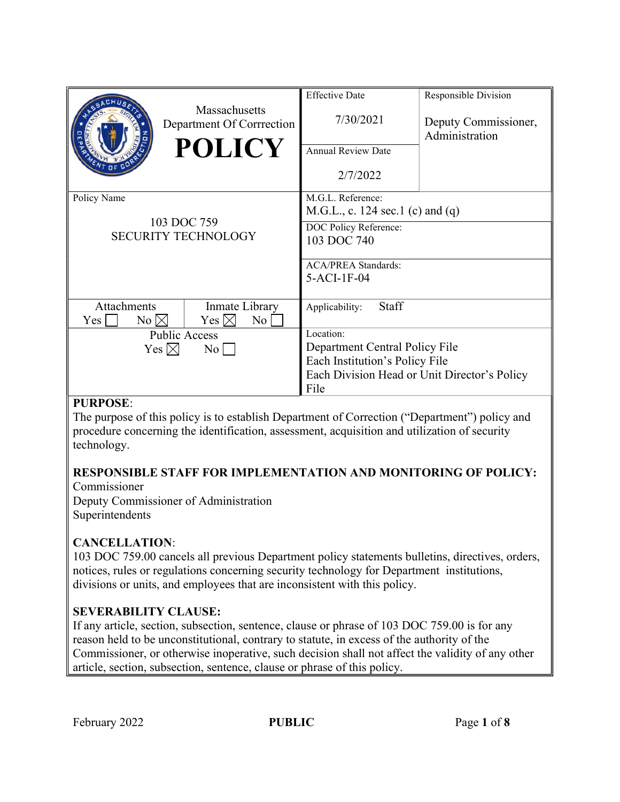|                                                          | Massachusetts<br>Department Of Corrrection | <b>Effective Date</b>                        | Responsible Division                   |
|----------------------------------------------------------|--------------------------------------------|----------------------------------------------|----------------------------------------|
|                                                          |                                            | 7/30/2021                                    | Deputy Commissioner,<br>Administration |
|                                                          | <b>POLICY</b>                              | <b>Annual Review Date</b>                    |                                        |
|                                                          |                                            | 2/7/2022                                     |                                        |
| Policy Name<br>103 DOC 759<br><b>SECURITY TECHNOLOGY</b> |                                            | M.G.L. Reference:                            |                                        |
|                                                          |                                            | M.G.L., c. 124 sec.1 (c) and (q)             |                                        |
|                                                          |                                            | DOC Policy Reference:                        |                                        |
|                                                          |                                            | 103 DOC 740                                  |                                        |
|                                                          |                                            |                                              |                                        |
|                                                          |                                            | <b>ACA/PREA Standards:</b><br>$5-ACI-1F-04$  |                                        |
|                                                          |                                            |                                              |                                        |
| Attachments                                              | Inmate Library                             | Staff<br>Applicability:                      |                                        |
| $No \bowtie$<br>Yes                                      | Yes $\boxtimes$<br>No                      |                                              |                                        |
| <b>Public Access</b>                                     |                                            | Location:                                    |                                        |
| Yes $\boxtimes$<br>$\rm{No}$                             |                                            | Department Central Policy File               |                                        |
|                                                          |                                            | Each Institution's Policy File               |                                        |
|                                                          |                                            | Each Division Head or Unit Director's Policy |                                        |
|                                                          |                                            | File                                         |                                        |

## PURPOSE:

The purpose of this policy is to establish Department of Correction ("Department") policy and procedure concerning the identification, assessment, acquisition and utilization of security technology.

#### RESPONSIBLE STAFF FOR IMPLEMENTATION AND MONITORING OF POLICY: Commissioner

Deputy Commissioner of Administration Superintendents

# CANCELLATION:

103 DOC 759.00 cancels all previous Department policy statements bulletins, directives, orders, notices, rules or regulations concerning security technology for Department institutions, divisions or units, and employees that are inconsistent with this policy.

# SEVERABILITY CLAUSE:

If any article, section, subsection, sentence, clause or phrase of 103 DOC 759.00 is for any reason held to be unconstitutional, contrary to statute, in excess of the authority of the Commissioner, or otherwise inoperative, such decision shall not affect the validity of any other article, section, subsection, sentence, clause or phrase of this policy.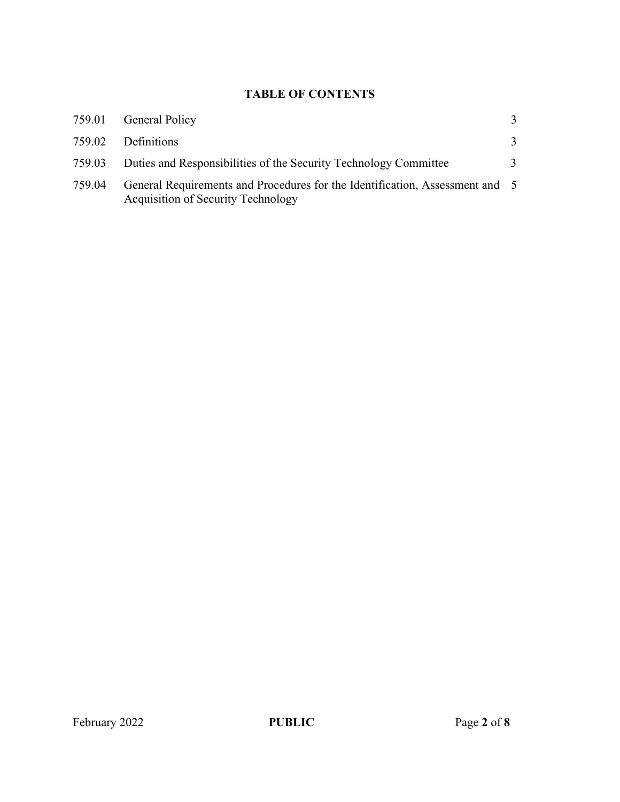## TABLE OF CONTENTS

|        | 759.01 General Policy                                                                                              |  |
|--------|--------------------------------------------------------------------------------------------------------------------|--|
| 759.02 | Definitions                                                                                                        |  |
| 759.03 | Duties and Responsibilities of the Security Technology Committee                                                   |  |
| 759.04 | General Requirements and Procedures for the Identification, Assessment and 5<br>Acquisition of Security Technology |  |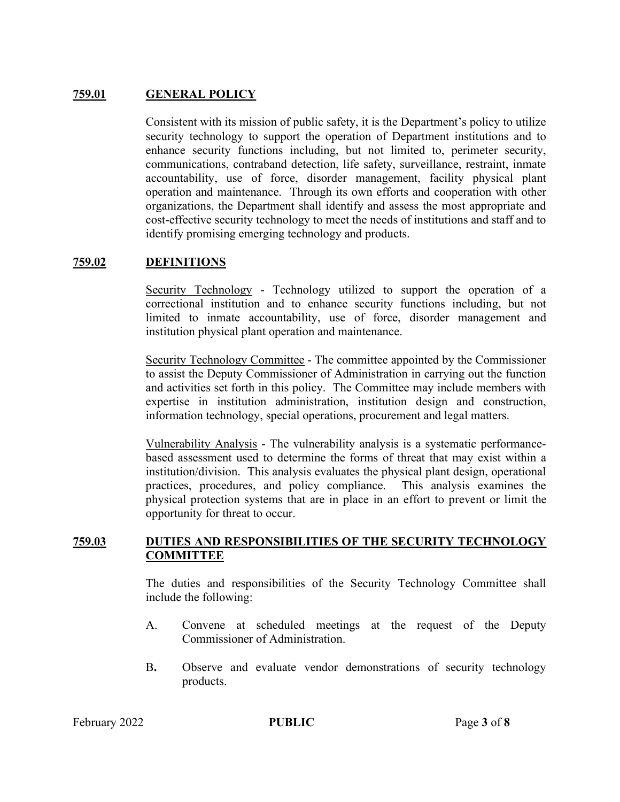## 759.01 GENERAL POLICY

Consistent with its mission of public safety, it is the Department's policy to utilize security technology to support the operation of Department institutions and to enhance security functions including, but not limited to, perimeter security, communications, contraband detection, life safety, surveillance, restraint, inmate accountability, use of force, disorder management, facility physical plant operation and maintenance. Through its own efforts and cooperation with other organizations, the Department shall identify and assess the most appropriate and cost-effective security technology to meet the needs of institutions and staff and to identify promising emerging technology and products.

## 759.02 DEFINITIONS

Security Technology - Technology utilized to support the operation of a correctional institution and to enhance security functions including, but not limited to inmate accountability, use of force, disorder management and institution physical plant operation and maintenance.

Security Technology Committee - The committee appointed by the Commissioner to assist the Deputy Commissioner of Administration in carrying out the function and activities set forth in this policy. The Committee may include members with expertise in institution administration, institution design and construction, information technology, special operations, procurement and legal matters.

Vulnerability Analysis - The vulnerability analysis is a systematic performancebased assessment used to determine the forms of threat that may exist within a institution/division. This analysis evaluates the physical plant design, operational practices, procedures, and policy compliance. This analysis examines the physical protection systems that are in place in an effort to prevent or limit the opportunity for threat to occur.

#### 759.03 DUTIES AND RESPONSIBILITIES OF THE SECURITY TECHNOLOGY **COMMITTEE**

The duties and responsibilities of the Security Technology Committee shall include the following:

- A. Convene at scheduled meetings at the request of the Deputy Commissioner of Administration.
- B. Observe and evaluate vendor demonstrations of security technology products.

February 2022 **PUBLIC** Page 3 of 8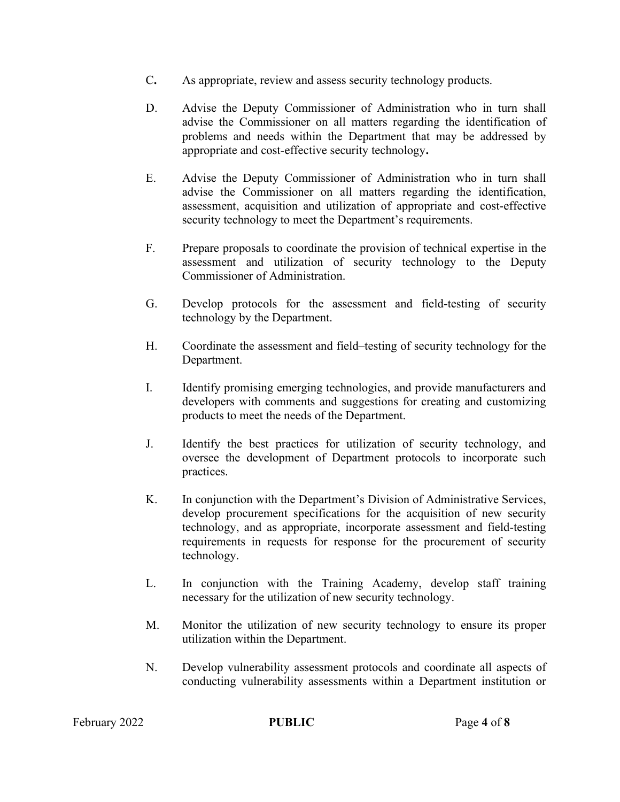- C. As appropriate, review and assess security technology products.
- D. Advise the Deputy Commissioner of Administration who in turn shall advise the Commissioner on all matters regarding the identification of problems and needs within the Department that may be addressed by appropriate and cost-effective security technology.
- E. Advise the Deputy Commissioner of Administration who in turn shall advise the Commissioner on all matters regarding the identification, assessment, acquisition and utilization of appropriate and cost-effective security technology to meet the Department's requirements.
- F. Prepare proposals to coordinate the provision of technical expertise in the assessment and utilization of security technology to the Deputy Commissioner of Administration.
- G. Develop protocols for the assessment and field-testing of security technology by the Department.
- H. Coordinate the assessment and field–testing of security technology for the Department.
- I. Identify promising emerging technologies, and provide manufacturers and developers with comments and suggestions for creating and customizing products to meet the needs of the Department.
- J. Identify the best practices for utilization of security technology, and oversee the development of Department protocols to incorporate such practices.
- K. In conjunction with the Department's Division of Administrative Services, develop procurement specifications for the acquisition of new security technology, and as appropriate, incorporate assessment and field-testing requirements in requests for response for the procurement of security technology.
- L. In conjunction with the Training Academy, develop staff training necessary for the utilization of new security technology.
- M. Monitor the utilization of new security technology to ensure its proper utilization within the Department.
- N. Develop vulnerability assessment protocols and coordinate all aspects of conducting vulnerability assessments within a Department institution or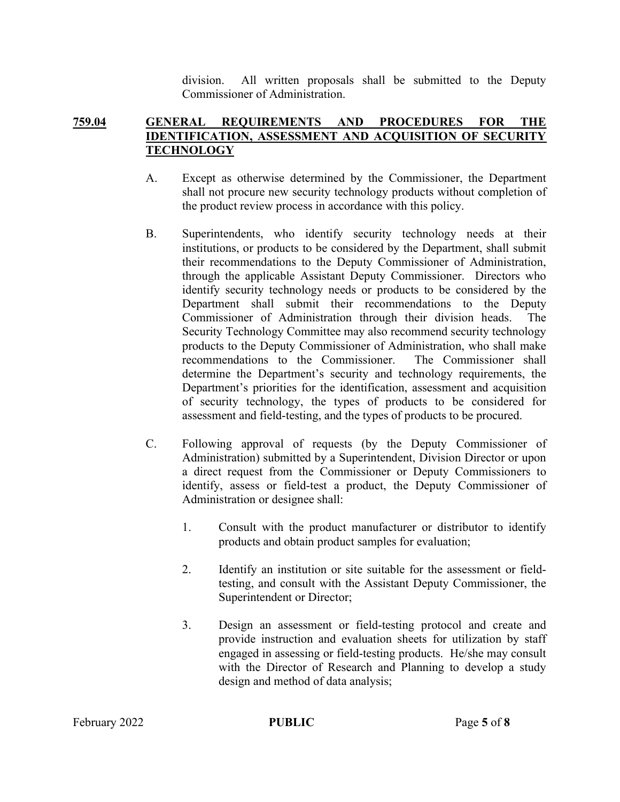division. All written proposals shall be submitted to the Deputy Commissioner of Administration.

## 759.04 GENERAL REQUIREMENTS AND PROCEDURES FOR THE IDENTIFICATION, ASSESSMENT AND ACQUISITION OF SECURITY **TECHNOLOGY**

- A. Except as otherwise determined by the Commissioner, the Department shall not procure new security technology products without completion of the product review process in accordance with this policy.
- B. Superintendents, who identify security technology needs at their institutions, or products to be considered by the Department, shall submit their recommendations to the Deputy Commissioner of Administration, through the applicable Assistant Deputy Commissioner. Directors who identify security technology needs or products to be considered by the Department shall submit their recommendations to the Deputy Commissioner of Administration through their division heads. The Security Technology Committee may also recommend security technology products to the Deputy Commissioner of Administration, who shall make recommendations to the Commissioner. The Commissioner shall determine the Department's security and technology requirements, the Department's priorities for the identification, assessment and acquisition of security technology, the types of products to be considered for assessment and field-testing, and the types of products to be procured.
- C. Following approval of requests (by the Deputy Commissioner of Administration) submitted by a Superintendent, Division Director or upon a direct request from the Commissioner or Deputy Commissioners to identify, assess or field-test a product, the Deputy Commissioner of Administration or designee shall:
	- 1. Consult with the product manufacturer or distributor to identify products and obtain product samples for evaluation;
	- 2. Identify an institution or site suitable for the assessment or fieldtesting, and consult with the Assistant Deputy Commissioner, the Superintendent or Director;
	- 3. Design an assessment or field-testing protocol and create and provide instruction and evaluation sheets for utilization by staff engaged in assessing or field-testing products. He/she may consult with the Director of Research and Planning to develop a study design and method of data analysis;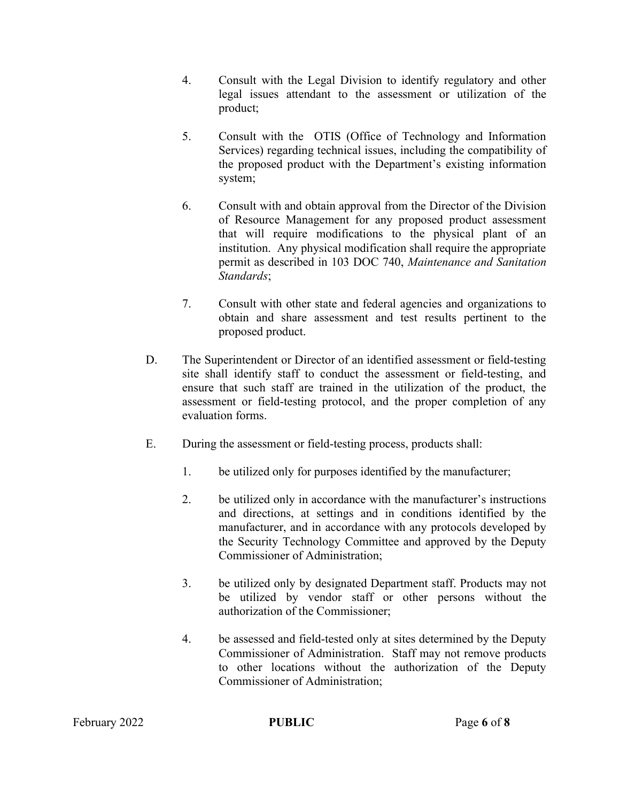- 4. Consult with the Legal Division to identify regulatory and other legal issues attendant to the assessment or utilization of the product;
- 5. Consult with the OTIS (Office of Technology and Information Services) regarding technical issues, including the compatibility of the proposed product with the Department's existing information system;
- 6. Consult with and obtain approval from the Director of the Division of Resource Management for any proposed product assessment that will require modifications to the physical plant of an institution. Any physical modification shall require the appropriate permit as described in 103 DOC 740, Maintenance and Sanitation Standards;
- 7. Consult with other state and federal agencies and organizations to obtain and share assessment and test results pertinent to the proposed product.
- D. The Superintendent or Director of an identified assessment or field-testing site shall identify staff to conduct the assessment or field-testing, and ensure that such staff are trained in the utilization of the product, the assessment or field-testing protocol, and the proper completion of any evaluation forms.
- E. During the assessment or field-testing process, products shall:
	- 1. be utilized only for purposes identified by the manufacturer;
	- 2. be utilized only in accordance with the manufacturer's instructions and directions, at settings and in conditions identified by the manufacturer, and in accordance with any protocols developed by the Security Technology Committee and approved by the Deputy Commissioner of Administration;
	- 3. be utilized only by designated Department staff. Products may not be utilized by vendor staff or other persons without the authorization of the Commissioner;
	- 4. be assessed and field-tested only at sites determined by the Deputy Commissioner of Administration. Staff may not remove products to other locations without the authorization of the Deputy Commissioner of Administration;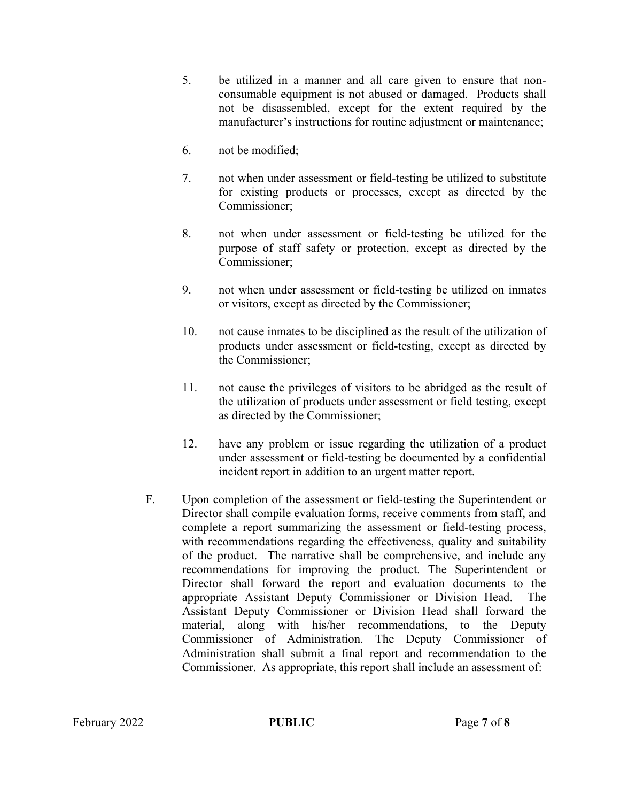- 5. be utilized in a manner and all care given to ensure that nonconsumable equipment is not abused or damaged. Products shall not be disassembled, except for the extent required by the manufacturer's instructions for routine adjustment or maintenance;
- 6. not be modified;
- 7. not when under assessment or field-testing be utilized to substitute for existing products or processes, except as directed by the Commissioner;
- 8. not when under assessment or field-testing be utilized for the purpose of staff safety or protection, except as directed by the Commissioner;
- 9. not when under assessment or field-testing be utilized on inmates or visitors, except as directed by the Commissioner;
- 10. not cause inmates to be disciplined as the result of the utilization of products under assessment or field-testing, except as directed by the Commissioner;
- 11. not cause the privileges of visitors to be abridged as the result of the utilization of products under assessment or field testing, except as directed by the Commissioner;
- 12. have any problem or issue regarding the utilization of a product under assessment or field-testing be documented by a confidential incident report in addition to an urgent matter report.
- F. Upon completion of the assessment or field-testing the Superintendent or Director shall compile evaluation forms, receive comments from staff, and complete a report summarizing the assessment or field-testing process, with recommendations regarding the effectiveness, quality and suitability of the product. The narrative shall be comprehensive, and include any recommendations for improving the product. The Superintendent or Director shall forward the report and evaluation documents to the appropriate Assistant Deputy Commissioner or Division Head. The Assistant Deputy Commissioner or Division Head shall forward the material, along with his/her recommendations, to the Deputy Commissioner of Administration. The Deputy Commissioner of Administration shall submit a final report and recommendation to the Commissioner. As appropriate, this report shall include an assessment of: